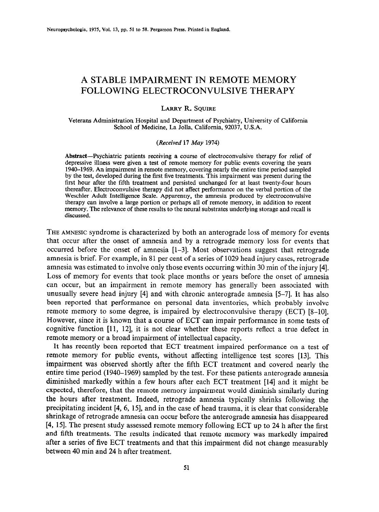# **A STABLE IMPAIRMENT IN REMOTE MEMORY FOLLOWING ELECTROCONVULSIVE THERAPY**

## LARRY **R.** SOUIRE

Veterans Administration Hospital and Department of Psychiatry, University of California School of Medicine, La Jolla, California, 92037, U.S.A.

#### *(Received* 17 *May 1974)*

Abstract-Psychiatric patients receiving a course of electroconvulsive therapy for relief of depressive illness were given a test of remote memory for public events covering the years 1940-1969. An impairment in remote memory, covering nearly the entire time period sampled by the test, developed during the tirst five treatments. This impairment was present during the first hour after the fifth treatment and persisted unchanged for at least twenty-four hours thereafter. Electroconvulsive therapy did not affect performance on the verbal portion of the Weschler Adult Intelligence Scale. Apparenny, the amnesia produced by electroconvulsive therapy can involve a large portion or perhaps all of remote memory, in addition to recent memory. The relevance of these results to the neural substrates underlying storage and recall is discussed.

**THE AMNESIC** syndrome is characterized by both an anterograde loss of memory for events that occur after the onset of amnesia and by a retrograde memory loss for events that occurred before the onset of amnesia [l-3]. Most observations suggest that retrograde amnesia is brief. For example, in 81 per cent of a series of 1029 head injury cases, retrograde amnesia was estimated to involve only those events occurring within 30 min of the injury [4]. Loss of memory for events that took place months or years before the onset of amnesia can occur, but an impairment in remote memory has generally been associated with unusually severe head injury [4] and with chronic anterograde amnesia [5-71. It has also been reported that performance on personal data inventories, which probably involve remote memory to some degree, is impaired by electroconvulsive therapy (ECT) [8-10]. However, since it is known that a course of ECT can impair performance in some tests of cognitive function [ll, 121, it is not clear whether these reports reflect a true defect in remote memory or a broad impairment of intellectual capacity.

It has recently been reported that ECT treatment impaired performance on a test of remote memory for public events, without affecting intelligence test scores [13]. This impairment was observed shortly after the fifth ECT treatment and covered nearly the entire time period (1940-1969) sampled by the test. For these patients anterograde amnesia diminished markedly within a few hours after each ECT treatment [14] and it might be expected, therefore, that the remote memory impairment would diminish similarly during the hours after treatment. Indeed, retrograde amnesia typically shrinks following the precipitating incident [4, 6, 151, and in the case of head trauma, it is clear that considerable shrinkage of retrograde amnesia can occur before the anterograde amnesia has disappeared [4, 151. The present study assessed remote memory following ECT up to 24 h after the first and fifth treatments. The results indicated that remote memory was markedly impaired after a series of five ECT treatments and that this impairment did not change measurably between 40 min and 24 h after treatment.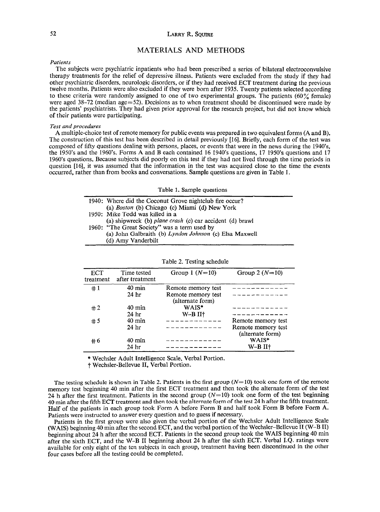## 52 LARRY R. SOUTRE

# **MATERIALS AND METHODS**

#### *Patients*

The subjects were psychiatric inpatients who had been prescribed a series of bilateral electroconvulsive therapy treatments for the relief of depressive illness. Patients were excluded from the study if they had other psychiatric disorders, neurologic disorders, or if they had received ECT treatment during the previous twelve months. Patients were also excluded if they were born after 1935. Twenty patients selected according to these criteria were randomly assigned to one of two experimental groups. The patients (60% female) were aged 38-72 (median age=52). Decisions as to when treatment should be discontinued were made by the patients' psychiatrists. They had given prior approval for the research project, but did not know which of their patients were participating.

#### *Test and procedures*

A multiple-choice test of remote memory for public events was prepared in two equivalent forms (A and B). The construction of this test has been described in detail previously [16]. Briefly, each form of the test was composed of tifty questions dealing with persons, places, or events that were in the news during the 1940's, the 1950's and the 1960's. Forms A and B each contained 16 1940's questions, 17 1950's questions and 17 1960's questions. Because subjects did poorly on this test if they had not lived through the time periods in question [16], it was assumed that the information in the test was acquired close to the time the events occurred, rather than from books and conversations. Sample questions are given in Table 1.

Table 1. Sample questions

| 1940: Where did the Coconut Grove nightclub fire occur?         |
|-----------------------------------------------------------------|
| (a) <i>Boston</i> (b) Chicago (c) Miami (d) New York            |
| 1950: Mike Todd was killed in a                                 |
| (a) shipwreck (b) <i>plane crash</i> (c) car accident (d) brawl |
| 1960: "The Great Society" was a term used by                    |
| (a) John Galbraith (b) Lyndon Johnson (c) Elsa Maxwell          |
| (d) Amy Vanderbilt                                              |

| ECT<br>treatment | Time tested<br>after treatment       | Group 1 $(N=10)$                                             | Group 2 $(N=10)$                                             |
|------------------|--------------------------------------|--------------------------------------------------------------|--------------------------------------------------------------|
| #1               | $40 \text{ min}$<br>24 hr            | Remote memory test<br>Remote memory test<br>(alternate form) |                                                              |
| #2               | $40 \text{ min}$<br>24 <sub>hr</sub> | WAIS*<br>W-B II†                                             |                                                              |
| #5               | $40 \text{ min}$<br>24 <sub>hr</sub> |                                                              | Remote memory test<br>Remote memory test<br>(alternate form) |
| #6               | $40 \text{ min}$<br>24 hr            |                                                              | WAIS*<br>W–B II†                                             |

#### Table 2. Testing schedule

\* Wechsler Adult Intelligence Scale, Verbal Portion.

t Wechsler-Bellevue II, Verbal Portion.

The testing schedule is shown in Table 2. Patients in the first group  $(N=10)$  took one form of the remote memory test beginning 40 min after the first ECT treatment and then took the alternate form of the test 24 h after the first treatment. Patients in the second group  $(N=10)$  took one form of the test beginning 40 min after the fifth ECT treatment and then took the alternate form of the test 24 h after the fifth treatment. Half of the patients in each group took Form A before Form B and half took Form B before Form A. Patients were instructed to answer every question and to guess if necessary.

Patients in the first group were also given the verbal portion of the Wechsler Adult Intelligence Scale (WAIS) beginning 40 min after the second ECT, and the verbal portion of the Wechsler-Bellevue II (W-B II) beginning about 24 h after the second ECT. Patients in the second group took the WAIS beginning 40 min after the sixth ECT, and the W-B II beginning about 24 h after the sixth ECT. Verbal I.Q. ratings were available for only eight of the ten subjects in each group, treatment having been discontinued in the other four cases before all the testing could be completed.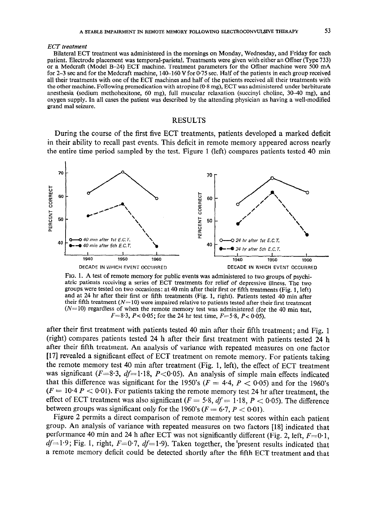#### *ECT treatment*

Bilateral ECT treatment was administered in the mornings on Monday, Wednesday, and Friday for each patient. Electrode placement was temporal-parietal. Treatments were given with either an Offner (Type 733) or a Medcraft (Model B-24) ECT machine. Treatment parameters for the Offner machine were 500 mA for 2-3 sec and for the Medcraft machine,  $140-160$  V for 0.75 sec. Half of the patients in each group received all their treatments with one of the ECT machines and half of the patients received all their treatments with the other machine. Following premedication with atropine (0.8 mg), ECT was administered under barbiturate anesthesia (sodium methohexitone, 60 mg), full muscular relaxation (succinyl choline, 3@-40 mg), and oxygen supply. In all cases the patient was described by the attending physician as having a well-modified grand ma1 seizure.

## RESULTS

During the course of the first five ECT treatments, patients developed a marked deficit in their ability to recall past events. This deficit in remote memory appeared across nearly the entire time period sampled by the test. Figure 1 (left) compares patients tested 40 min



FIG. 1. A test of remote memory for public events was administered to two groups of psychiatric patients receiving a series of ECT treatments for relief of depressive illness. The two groups were tested on two occasions: at 40 min after their first or fifth treatments (Fig. 1, left) and at 24 hr after their first or fifth treatments (Fig. 1, right). Patients tested 40 min after their fifth treatment  $(N=10)$  were impaired relative to patients tested after their first treatment  $(N=10)$  regardless of when the remote memory test was administered (for the 40 min test,  $F=8.3$ ,  $P<0.05$ ; for the 24 hr test time,  $F=5.8$ ,  $P<0.05$ ).

after their first treatment with patients tested 40 min after their fifth treatment; and Fig. 1 (right) compares patients tested 24 h after their first treatment with patients tested 24 h after their fifth treatment. An analysis of variance with repeated measures on one factor [17] revealed a significant effect of ECT treatment on remote memory. For patients taking the remote memory test 40 min after treatment (Fig. 1, left), the effect of ECT treatment was significant ( $F=8.3$ ,  $df=1.18$ ,  $P<0.05$ ). An analysis of simple main effects indicated that this difference was significant for the 1950's  $(F = 4.4, P < 0.05)$  and for the 1960's  $(F = 10.4 \, P < 0.01)$ . For patients taking the remote memory test 24 hr after treatment, the effect of ECT treatment was also significant ( $F = 5.8$ ,  $df = 1.18$ ,  $P < 0.05$ ). The difference between groups was significant only for the 1960's  $(F = 6.7, P < 0.01)$ .

Figure 2 permits a direct comparison of remote memory test scores within each patient group. An analysis of variance with repeated measures on two factors [18] indicated that performance 40 min and 24 h after ECT was not significantly different (Fig. 2, left,  $F=0.1$ ,  $df=1.9$ ; Fig. 1, right,  $F=0.7$ ,  $df=1.9$ ). Taken together, the 'present results indicated that a remote memory deficit could be detected shortly after the fifth ECT treatment and that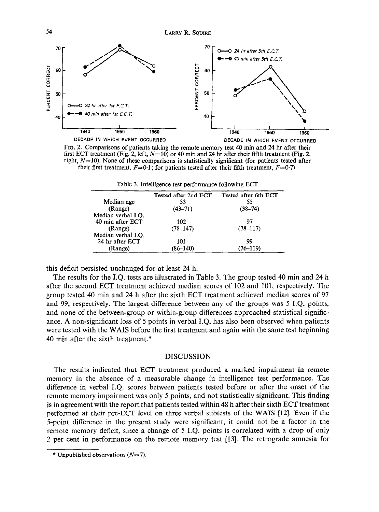

FIG. 2. Comparisons of patients taking the remote memory test 40 min and 24 hr after their first ECT treatment (Fig. 2, left,  $N=10$ ) or 40 min and 24 hr after their fifth treatment (Fig. 2, right,  $N=10$ ). None of these comparisons is statistically significant (for patients tested after their first treatment,  $F=0.1$ ; for patients tested after their fifth treatment,  $F=0.7$ ).

Table 3. Intelligence test performance following ECT

|                    | Tested after 2nd ECT | Tested after 6th ECT |
|--------------------|----------------------|----------------------|
| Median age         | 53                   | 55                   |
| (Range)            | $(43 - 71)$          | $(38-74)$            |
| Median verbal I.O. |                      |                      |
| 40 min after ECT   | 102                  | 97                   |
| (Range)            | $(78-147)$           | $(78 - 117)$         |
| Median verbal I.Q. |                      |                      |
| 24 hr after ECT    | 101                  | 99                   |
| (Range)            | (86–140)             | $(76-119)$           |

this deficit persisted unchanged for at least 24 h.

The results for the I.Q. tests are illustrated in Table 3. The group tested 40 min and 24 h after the second ECT treatment achieved median scores of 102 and 101, respectively. The group tested 40 min and 24 h after the sixth ECT treatment achieved median scores of 97 and 99, respectively. The largest difference between any of the groups was 5 I.Q. points, and none of the between-group or within-group differences approached statistical significance. A non-significant loss of 5 points in verbal I.Q. has also been observed when patients were tested with the WAIS before the first treatment and again with the same test beginning 40 min after the sixth treatment.\*

# DISCUSSION

The results indicated that ECT treatment produced a marked impairment in remote memory in the absence of a measurable change in intelligence test performance. The difference in verbal I.Q. scores between patients tested before or after the onset of the remote memory impairment was only 5 points, and not statistically significant. This finding is in agreement with the report that patients tested within 48 h after their sixth ECT treatment performed at their pre-ECT level on three verbal subtests of the WAIS [12]. Even if the 5-point difference in the present study were significant, it could not be a factor in the remote memory deficit, since a change of 5 I.Q. points is correlated with a drop of only 2 per cent in performance on the remote memory test [13]. The retrograde amnesia for

<sup>\*</sup> Unpublished observations  $(N=7)$ .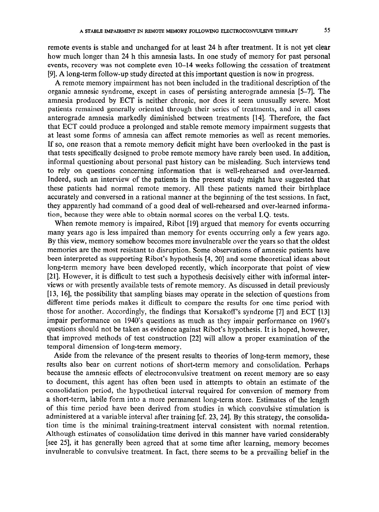remote events is stable and unchanged for at least 24 h after treatment. It is not yet clear how much longer than 24 h this amnesia lasts. In one study of memory for past personal events, recovery was not complete even 10–14 weeks following the cessation of treatment [9]. A long-term follow-up study directed at this important question is now in progress.

A remote memory impairment has not been included in the traditional description of the organic amnesic syndrome, except in cases of persisting anterograde amnesia [5-71. The amnesia produced by ECT is neither chronic, nor does it seem unusually severe. Most patients remained generally oriented through their series of treatments, and in all cases anterograde amnesia markedly diminished between treatments [ 141. Therefore, the fact that ECT could produce a prolonged and stable remote memory impairment suggests that at least some forms of amnesia can affect remote memories as well as recent memories. If so, one reason that a remote memory deficit might have been overlooked in the past is that tests specifically designed to probe remote memory have rarely been used. In addition, informal questioning about personal past history can be misleading. Such interviews tend to rely on questions concerning information that is well-rehearsed and over-learned. Indeed, such an interview of the patients in the present study might have suggested that these patients had normal remote memory. All these patients named their birthplace accurately and conversed in a rational manner at the beginning of the test sessions. In fact, they apparently had command of a good deal of well-rehearsed and over-learned information, because they were able to obtain normal scores on the verbal I.Q. tests.

When remote memory is impaired, Ribot [19] argued that memory for events occurring many years ago is less impaired than memory for events occurring only a few years ago. By this view, memory somehow becomes more invulnerable over the years so that the oldest memories are the most resistant to disruption. Some observations of amnesic patients have been interpreted as supporting Ribot's hypothesis [4, 201 and some theoretical ideas about long-term memory have been developed recently, which incorporate that point of view [21]. However, it is difficult to test such a hypothesis decisively either with informal interviews or with presently available tests of remote memory. As discussed in detail previously [13, 161, the possibility that sampling biases may operate in the selection of questions from different time periods makes it difficult to compare the results for one time period with those for another. Accordingly, the findings that Korsakoff's syndrome [7] and ECT [13] impair performance on 1940's questions as much as they impair performance on 1960's questions should not be taken as evidence against Ribot's hypothesis. It is hoped, however, that improved methods of test construction [22] will allow a proper examination of the temporal dimension of long-term memory.

Aside from the relevance of the present results to theories of long-term memory, these results also bear on current notions of short-term memory and consolidation. Perhaps because the amnesic effects of electroconvulsive treatment on recent memory are so easy to document, this agent has often been used in attempts to obtain an estimate of the consolidation period, the hypothetical interval required for conversion of memory from a short-term, labile form into a more permanent long-term store. Estimates of the length of this time period have been derived from studies in which convulsive stimulation is administered at a variable interval after training [cf. 23, 241. By this strategy, the consolidation time is the minimal training-treatment interval consistent with normal retention. Although estimates of consolidation time derived in this manner have varied considerably [see 251, it has generally been agreed that at some time after learning, memory becomes invulnerable to convulsive treatment. In fact, there seems to be a prevailing belief in the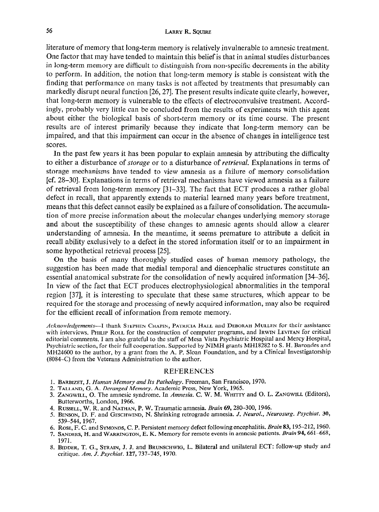literature of memory that long-term memory is relatively invulnerable to amnesic treatment. One factor that may have tended to maintain this belief is that in animal studies disturbances in long-term memory are difficult to distinguish from non-specific decrements in the ability to perform. In addition, the notion that long-term memory is stable is consistent with the finding that performance on many tasks is not affected by treatments that presumably can markedly disrupt neural function [26,27]. The present results indicate quite clearly, however, that long-term memory is vulnerable to the effects of electroconvulsive treatment. Accordingly, probably very little can be concluded from the results of experiments with this agent about either the biological basis of short-term memory or its time course. The present results are of interest primarily because they indicate that long-term memory can be impaired, and that this impairment can occur in the absence of changes in intelligence test scores.

In the past few years it has been popular to explain amnesia by attributing the difficulty to either a disturbance of *storage* or to a disturbance of *retrieval.* Explanations in terms of storage mechanisms have tended to view amnesia as a failure of memory consolidation [cf. 28-301. Explanations in terms of retrieval mechanisms have viewed amnesia as a failure of retrieval from long-term memory [31-331. The fact that ECT produces a rather global defect in recall, that apparently extends to material learned many years before treatment, means that this defect cannot easily be explained as a failure of consolidation. The accumulation of more precise information about the molecular changes underlying memory storage and about the susceptibility of these changes to amnesic agents should allow a clearer understanding of amnesia. In the meantime, it seems premature to attribute a deficit in recall ability exclusively to a defect in the stored information itself or to an impairment in some hypothetical retrieval process [25].

On the basis of many thoroughly studied cases of human memory pathology, the suggestion has been made that medial temporal and diencephalic structures constitute an essential anatomical substrate for the consolidation of newly acquired information [34-361. In view of the fact that ECT produces electrophysiological abnormalities in the temporal region [37], it is interesting to speculate that these same structures, which appear to be required for the storage and processing of newly acquired information, may also be required for the efficient recall of information from remote memory.

*Acknowledgements-I* thank **STEPHEN CHAPIN,** PATRICIA HALL and DEBORAH MULLEN for their assistance with interviews. PHILIP ROLL for the construction of computer programs, and IRWIN LEVITAN for critical editorial comments. I am also grateful to the staff of Mesa Vista Psychiatric Hospital and Mercy Hospital, Psychiatric section, for their full cooperation. Supported by NIMH grants MH18282 to S. H. Barondes and MH24600 to the author, by a grant from the A. P. Sloan Foundation, and by a Clinical Investigatorship (8084-C) from the Veterans Administration to the author.

### **REFERENCES**

- 1. BARBIZET, J. *Human Memory and Its Pathology.* Freeman, San Francisco, 1970.
- 2. TALLAND, G. A. *Deranged Memory.* Academic Press, New York, 1965.
- 3. ZANGWILL, O. The amnesic syndrome. In *Amnesia*. C. W. M. WHITTY and O. L. ZANGWILL (Editors), Butterworths, London, 1966.
- *4.* RUSSELL, W. k. and NATHAN, P. W. Traumatic amnesia. *Bruin 69,280-300, 1946.*
- 5. BENSON, D. F. and GESCHWIND, N. Shrinking retrograde amnesia. *J. Neurol., Neurosurg. Psychiat.* 30, *539-544,1967.*
- *6.* ROSE, F. C. and SYMONDS, C. P. Persistent memory defect following encephalitis. *Brain 83,195-212,196O.*
- *7.* SANDERS, H. and WARRINGTON, E. K. Memory for remote events in amnesic patients. *Brain 94,661-668,*  1971.
- 8. BIDDER, T. G., STRAIN, J. J. and BRUNSCHWIG, L. Bilateral and unilateral ECT: follow-up study and critique. *Am. J. Psychiat. 127,737-745, 1970.*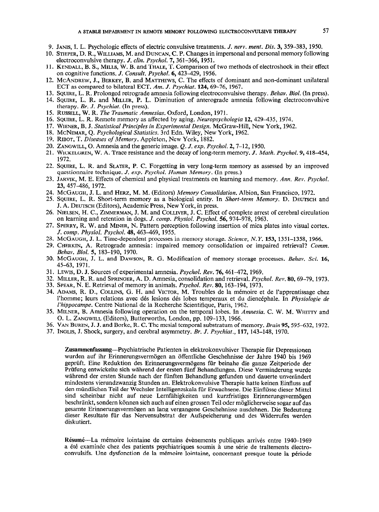- 9. JANIS, I. L. Psychologic effects of electric convulsive treatments. J. *new. ment. Dis. 3, 359-383, 1950.*
- 10. STIEPER, D. R., WILLIAMS, M. and DUNCAN, C. P. Changes in impersonal and personal memory following electroconvulsive therapy. *J. clin. Psychol.* 7, 361-366, 1951.
- 11. KENDALL, B. S., MILLS, W. B. and THALE, T. Comparison of two methods of electroshock in their effect on cognitive functions. *J. Consult. Psychol. 6,423-429, 1956.*
- 12. MCANDREW, J., BERKEY, B. and MATTHEWS, C. The effects of dominant and non-dominant unilateral ECT as compared to bilateral ECT. Am. J. Psychiat. 124, 69-76, 1967.
- 13. SQUIRE, L. R. Prolonged retrograde amnesia following electroconvulsive therapy. *Behav. Biol.* (In press).
- 14. **SQUIRE,** L. R. and MILLER, P. L. Diminution of anterograde amnesia following electroconvulsive therapy. *Br. J. Psychiat.* (In press).
- 15. RUSSELL, W. R. *The Traumatic Amnesias.* Oxford, London, 1971.
- 16. SQUIRE, L. R. Remote memory as affected by aging. *Neuropsychologia 12,429-435, 1974.*
- 17. WIENER, B. J. *Statistical Principles in Experimental Design.* McGraw-Hill, New York, 1962.
- 18. MCNEMAR, Q. *Psychological Statistics.* 3rd Edn. Wiley, New York, 1962.
- 19. **RIBOT,** T. *Diseases of Memory.* Appleton, New York, 1882.
- 20. ZANGWILL, 0. Amnesia and the generic image. Q. *J. exp. Psycho/. 2,7-12, 1950.*
- 21. WICKELGREN, W. A. Trace resistance and the decay of long-term memory. *J. Math. Psychol. 9,418-454, 1972.*
- 22. SQUIRE, L. R. and SLATER, P. C. Forgetting in very long-term memory as assessed by an improved questionnaire technique. *J. exp. Psychol. Human Memory.* (In press.)
- 23. JARVIK, M. E. Effects of chemical and physical treatments on learning and memory. *Ann. Rev. Psycho/. 23, 451-486,* 1972.
- 24. MCGAUGH, J. L. and HERZ, M. M. (Editors) *Memory Consolidation.* Albion, San Francisco, 1972.
- 25. SQUIRE, L. R. Short-term memory as a biological entity. In *Short-term Memory.* D. DEUTSCH and J. A. DEUTSCH (Editors), Academic Press, New York, in press.
- 26. NIELSEN, H. C., ZIMMERMAN, J. M. and COLLIVER, J. C. Effect of complete arrest of cerebral circulation on learning and retention in dogs. *J. camp. Physiol. Psychol. 56,974-978, 1963.*
- 27. SPERRY, R. W. and MINER, N. Pattern perception following insertion of mica plates into visual cortex. *J. camp. Physiol. Psychol. 48,463469, 1955.*
- 28. MCGAUGH, J. L. Time-dependent processes in memory storage. *Science, N.Y.* 153, 1351-1358, 1966.
- 29. GHERKIN, A. Retrograde amnesia: impaired memory consolidation or impaired retrieval? *Comm. Behav.* Biol. 5, 183-190, 1970.
- 30. MCGAUGH, J. L. and DAWSON, R. G. Modification of memory storage processes. *Behav. Sci. 16, 45-63, 1971.*
- 31. **LEWIS,** D. J. Sources of experimental amnesia. *Psychol. Rev. 76,461-472,1969.*
- 32. MILLER, R. R. and SPRINGER, A. D. Amnesia, consolidation and retrieval. *Psychol. Rev.* 80, 69–79, 19
- 33. SPEAR, N. E. Retrieval of memory in animals. *Psychol. Rev.* 80, 163–194, 19
- 34. ADAMS, R. D., COLLINS, G. H. and VICTOR, M. Troubles de la memoire et de l'apprentissage chez l'homme; leurs relations avec dés lesions dés lobes temperaux et du diencéphale. In *Physiologie de Z'hippocampe.* Centre National de la Recherche Scientifique, Paris, 1962.
- 35. MILNER, B. Amnesia following operation on the temporal lobes. In *Amnesia*. C. W. M. WHITTY and 0. L. ZANGWILL (Editors), Butterworths, London, pp. 109-133, 1966.
- 36. VAN BUREN, J. J. and Borke, R. C. The mesial temporal substratum of memory. *Bruin 95,595-632,1972.*
- 3-l. INGLIS, J. Shock, surgery, and cerebral asymmetry. Br. *J.* Psychiat., 117, 143-148, 1970.

Zusammenfassung--Psychiatrische Patienten in elektrokonvulsiver Therapie für Depressionen wurden auf ihr Erinnerungsvermogen an Gffentliche Geschehnisse der Jahre 1940 bis 1969 geprüft. Eine Reduktion des Erinnerungsvermögens für beinahe die ganze Zeitperiode der Prtifung entwickelte sich wlhrend der ersten fiinf Behandlungen. Diese Verminderung wurde wlhrend der ersten Stunde nach der ftinften Behandlung gefunden und dauerte unverandert mindestens vierundzwanzig Stunden an. Elektrokonvulsive Therapie hatte keinen Einfluss auf den mündlichen Teil der Wechsler Intelligenzskala für Erwachsene. Die Einflüsse dieser Mittel sind scheinbar nicht auf neue Lernfähigkeiten und kurzfristiges Erinnerungsvermögen beschränkt, sondern können sich auch auf einen grossen Teil oder möglicherweise sogar auf das gesamte Erinnerungsvermbgen an lang vergangene Geschehnisse ausdehnen. Die Bedeutung dieser Resultate ftir das Nervensubstrat der Aufspeicherung und des Widerrufes werden diskutiert.

Résumé-La mémoire lointaine de certains évènements publiques arrivés entre 1940-1969 a été examinée chez des patients psychiatriques soumis à une série de traîtements électroconvulsifs. Une dysfonction de la mémoire lointaine, concernant presque toute la période